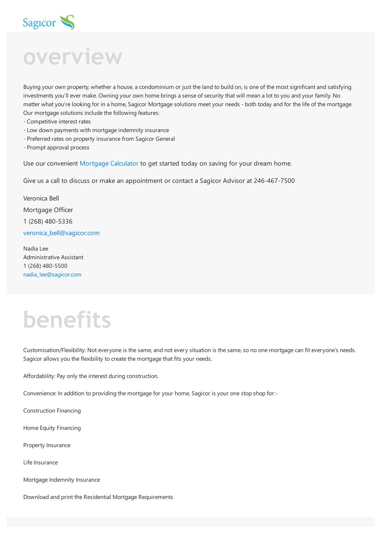

# Sag<sub>r</sub>cor S<br> **overview**

Buying your own property, whether a house, a condominium or just the land to build on, is one of the most significant and satisfying investments you'll ever make. Owning your own home brings a sense of security that will mean a lot to you and your family. No matter what you're looking for in a home, Sagicor Mortgage solutions meet your needs - both today and for the life of the mortgage. Our mortgage solutions include the following features:

- Competitive interest rates
- Low down payments with mortgage indemnity insurance
- Preferred rates on property insurance from Sagicor General
- Prompt approval process

Use our convenient [Mortgage](https://www.sagicor.com/en-KN/Mortgage-Calculator) Calculator to get started today on saving for your dream home.

Give us a call to discuss or make an appointment or contact a Sagicor Advisor at 246-467-7500

Veronica Bell Mortgage Officer 1 (268) 480-5336 [veronica\\_bell@sagicor.com](mailto:veronica_bell@sagicor.com?subject=I%20am%20interested%20in%20a%20mortgage)

Nadia Lee Administrative Assistant 1 (268) 480-5500 [nadia\\_lee@sagicor.com](mailto:nadia_lee@sagicor.com?subject=I%20am%20interested%20in%20a%20mortgage)

## **benefits**

Customisation/Flexibility: Not everyone is the same, and not every situation is the same, so no one mortgage can fit everyone's needs. Sagicor allows you the flexibility to create the mortgage that fits your needs.

Affordability: Pay only the interest during construction.

Convenience: In addition to providing the mortgage for your home, Sagicor is your one stop shop for:-

Construction Financing

Home Equity Financing

Property Insurance

Life Insurance

Mortgage Indemnity Insurance

Download and print the Residential Mortgage Requirements